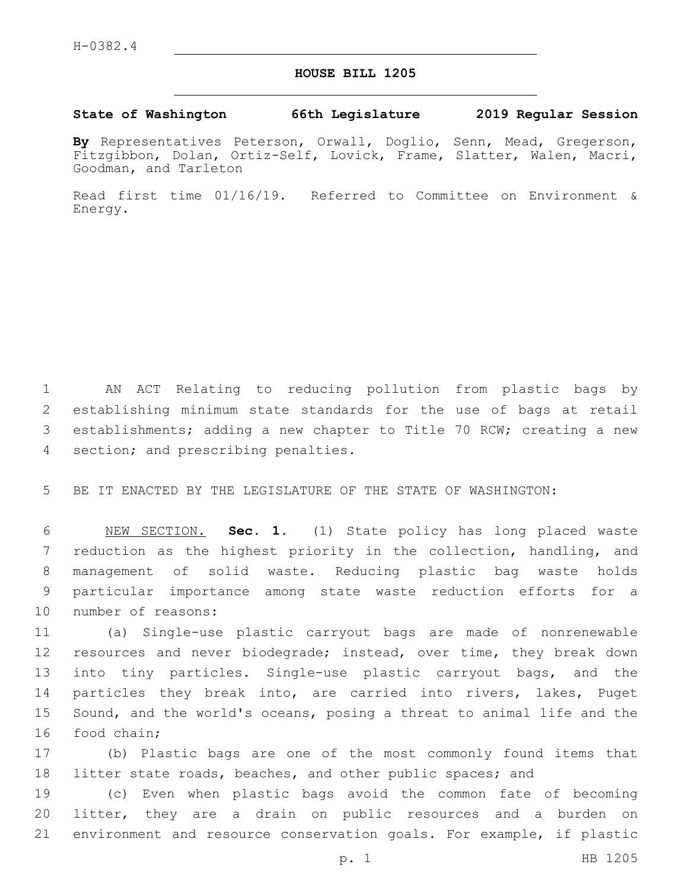## **HOUSE BILL 1205**

## **State of Washington 66th Legislature 2019 Regular Session**

**By** Representatives Peterson, Orwall, Doglio, Senn, Mead, Gregerson, Fitzgibbon, Dolan, Ortiz-Self, Lovick, Frame, Slatter, Walen, Macri, Goodman, and Tarleton

Read first time 01/16/19. Referred to Committee on Environment & Energy.

 AN ACT Relating to reducing pollution from plastic bags by establishing minimum state standards for the use of bags at retail establishments; adding a new chapter to Title 70 RCW; creating a new 4 section; and prescribing penalties.

5 BE IT ENACTED BY THE LEGISLATURE OF THE STATE OF WASHINGTON:

 NEW SECTION. **Sec. 1.** (1) State policy has long placed waste reduction as the highest priority in the collection, handling, and management of solid waste. Reducing plastic bag waste holds particular importance among state waste reduction efforts for a number of reasons:

11 (a) Single-use plastic carryout bags are made of nonrenewable 12 resources and never biodegrade; instead, over time, they break down 13 into tiny particles. Single-use plastic carryout bags, and the 14 particles they break into, are carried into rivers, lakes, Puget 15 Sound, and the world's oceans, posing a threat to animal life and the 16 food chain;

17 (b) Plastic bags are one of the most commonly found items that 18 litter state roads, beaches, and other public spaces; and

19 (c) Even when plastic bags avoid the common fate of becoming 20 litter, they are a drain on public resources and a burden on 21 environment and resource conservation goals. For example, if plastic

p. 1 HB 1205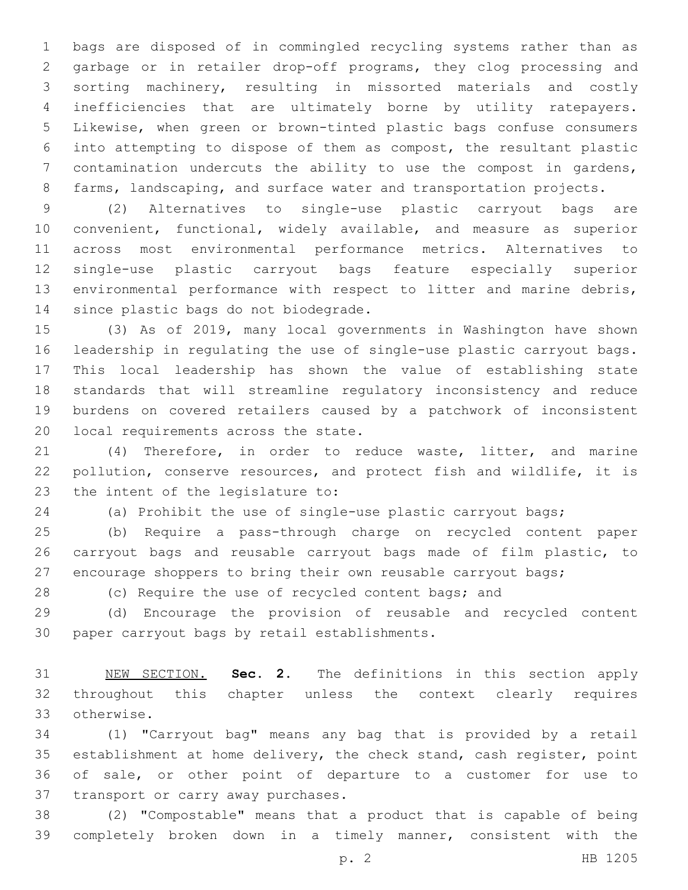bags are disposed of in commingled recycling systems rather than as garbage or in retailer drop-off programs, they clog processing and sorting machinery, resulting in missorted materials and costly inefficiencies that are ultimately borne by utility ratepayers. Likewise, when green or brown-tinted plastic bags confuse consumers into attempting to dispose of them as compost, the resultant plastic contamination undercuts the ability to use the compost in gardens, 8 farms, landscaping, and surface water and transportation projects.

 (2) Alternatives to single-use plastic carryout bags are convenient, functional, widely available, and measure as superior across most environmental performance metrics. Alternatives to single-use plastic carryout bags feature especially superior environmental performance with respect to litter and marine debris, 14 since plastic bags do not biodegrade.

 (3) As of 2019, many local governments in Washington have shown leadership in regulating the use of single-use plastic carryout bags. This local leadership has shown the value of establishing state standards that will streamline regulatory inconsistency and reduce burdens on covered retailers caused by a patchwork of inconsistent 20 local requirements across the state.

 (4) Therefore, in order to reduce waste, litter, and marine pollution, conserve resources, and protect fish and wildlife, it is 23 the intent of the legislature to:

(a) Prohibit the use of single-use plastic carryout bags;

 (b) Require a pass-through charge on recycled content paper carryout bags and reusable carryout bags made of film plastic, to encourage shoppers to bring their own reusable carryout bags;

28 (c) Require the use of recycled content bags; and

 (d) Encourage the provision of reusable and recycled content 30 paper carryout bags by retail establishments.

 NEW SECTION. **Sec. 2.** The definitions in this section apply throughout this chapter unless the context clearly requires otherwise.

 (1) "Carryout bag" means any bag that is provided by a retail establishment at home delivery, the check stand, cash register, point of sale, or other point of departure to a customer for use to 37 transport or carry away purchases.

 (2) "Compostable" means that a product that is capable of being completely broken down in a timely manner, consistent with the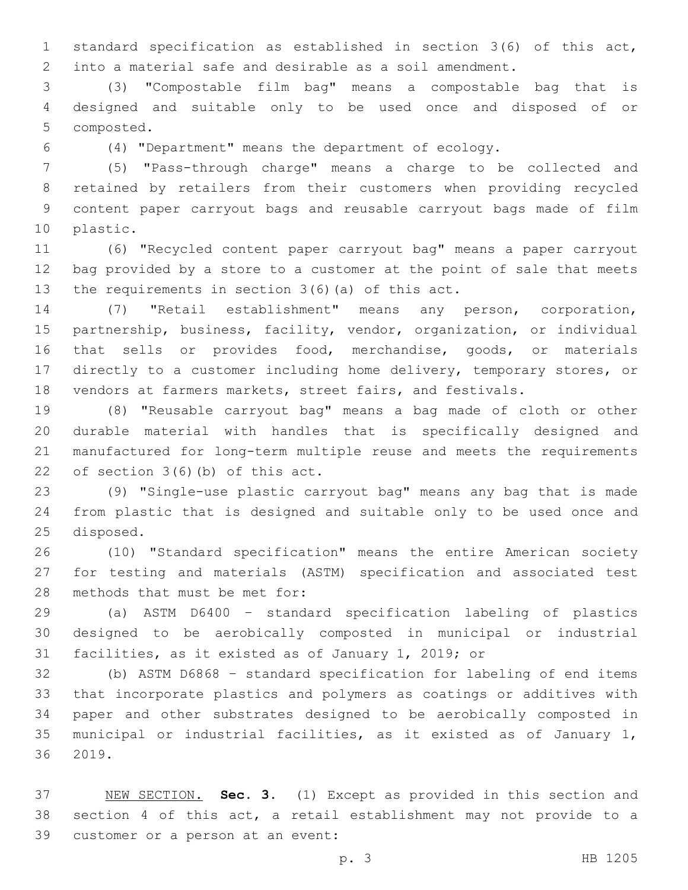standard specification as established in section 3(6) of this act, into a material safe and desirable as a soil amendment.

 (3) "Compostable film bag" means a compostable bag that is designed and suitable only to be used once and disposed of or 5 composted.

(4) "Department" means the department of ecology.

 (5) "Pass-through charge" means a charge to be collected and retained by retailers from their customers when providing recycled content paper carryout bags and reusable carryout bags made of film 10 plastic.

 (6) "Recycled content paper carryout bag" means a paper carryout bag provided by a store to a customer at the point of sale that meets 13 the requirements in section  $3(6)$  (a) of this act.

 (7) "Retail establishment" means any person, corporation, partnership, business, facility, vendor, organization, or individual that sells or provides food, merchandise, goods, or materials directly to a customer including home delivery, temporary stores, or vendors at farmers markets, street fairs, and festivals.

 (8) "Reusable carryout bag" means a bag made of cloth or other durable material with handles that is specifically designed and manufactured for long-term multiple reuse and meets the requirements 22 of section  $3(6)(b)$  of this act.

 (9) "Single-use plastic carryout bag" means any bag that is made from plastic that is designed and suitable only to be used once and 25 disposed.

 (10) "Standard specification" means the entire American society for testing and materials (ASTM) specification and associated test 28 methods that must be met for:

 (a) ASTM D6400 – standard specification labeling of plastics designed to be aerobically composted in municipal or industrial facilities, as it existed as of January 1, 2019; or

 (b) ASTM D6868 – standard specification for labeling of end items that incorporate plastics and polymers as coatings or additives with paper and other substrates designed to be aerobically composted in municipal or industrial facilities, as it existed as of January 1, 36 2019.

 NEW SECTION. **Sec. 3.** (1) Except as provided in this section and section 4 of this act, a retail establishment may not provide to a 39 customer or a person at an event: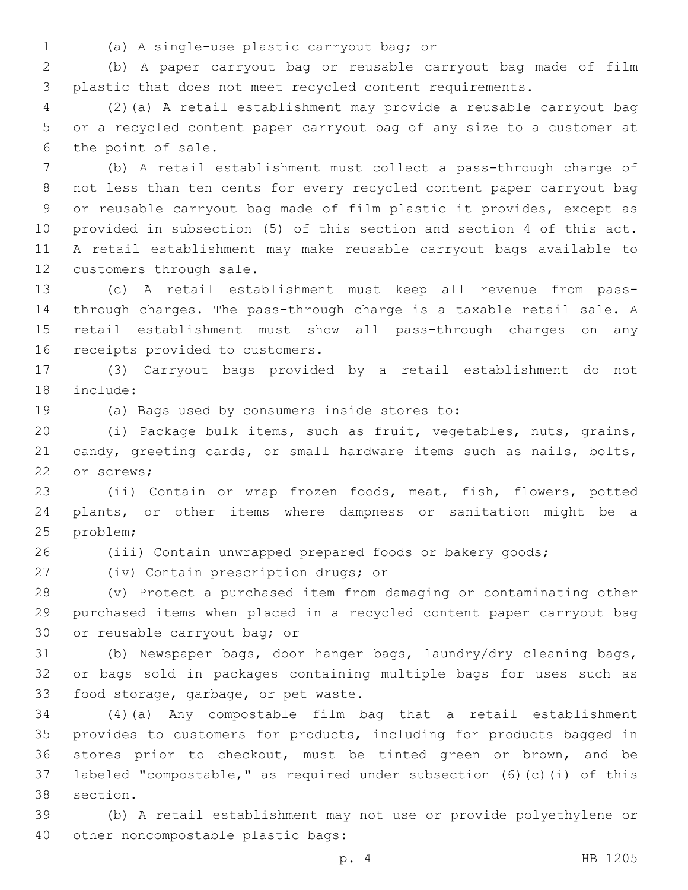- 
- (a) A single-use plastic carryout bag; or1

 (b) A paper carryout bag or reusable carryout bag made of film plastic that does not meet recycled content requirements.

 (2)(a) A retail establishment may provide a reusable carryout bag or a recycled content paper carryout bag of any size to a customer at 6 the point of sale.

 (b) A retail establishment must collect a pass-through charge of not less than ten cents for every recycled content paper carryout bag or reusable carryout bag made of film plastic it provides, except as provided in subsection (5) of this section and section 4 of this act. A retail establishment may make reusable carryout bags available to 12 customers through sale.

 (c) A retail establishment must keep all revenue from pass- through charges. The pass-through charge is a taxable retail sale. A retail establishment must show all pass-through charges on any 16 receipts provided to customers.

 (3) Carryout bags provided by a retail establishment do not 18 include:

19 (a) Bags used by consumers inside stores to:

 (i) Package bulk items, such as fruit, vegetables, nuts, grains, candy, greeting cards, or small hardware items such as nails, bolts, 22 or screws:

 (ii) Contain or wrap frozen foods, meat, fish, flowers, potted plants, or other items where dampness or sanitation might be a 25 problem;

(iii) Contain unwrapped prepared foods or bakery goods;

27 (iv) Contain prescription drugs; or (v) Protect a purchased item from damaging or contaminating other

 purchased items when placed in a recycled content paper carryout bag 30 or reusable carryout bag; or

 (b) Newspaper bags, door hanger bags, laundry/dry cleaning bags, or bags sold in packages containing multiple bags for uses such as 33 food storage, garbage, or pet waste.

 (4)(a) Any compostable film bag that a retail establishment provides to customers for products, including for products bagged in stores prior to checkout, must be tinted green or brown, and be labeled "compostable," as required under subsection (6)(c)(i) of this 38 section.

 (b) A retail establishment may not use or provide polyethylene or 40 other noncompostable plastic bags: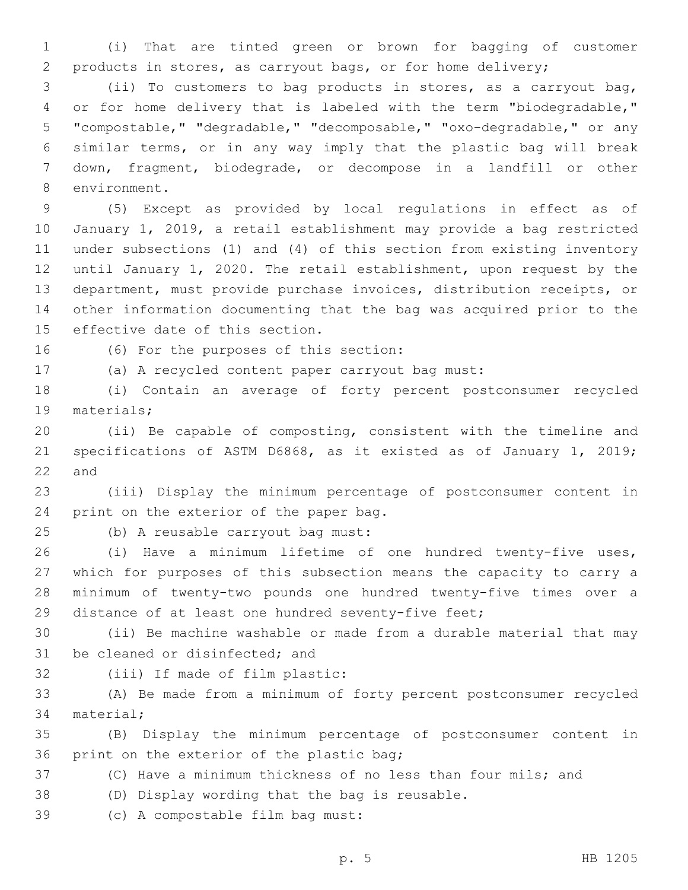(i) That are tinted green or brown for bagging of customer products in stores, as carryout bags, or for home delivery;

 (ii) To customers to bag products in stores, as a carryout bag, or for home delivery that is labeled with the term "biodegradable," "compostable," "degradable," "decomposable," "oxo-degradable," or any similar terms, or in any way imply that the plastic bag will break down, fragment, biodegrade, or decompose in a landfill or other 8 environment.

 (5) Except as provided by local regulations in effect as of January 1, 2019, a retail establishment may provide a bag restricted under subsections (1) and (4) of this section from existing inventory until January 1, 2020. The retail establishment, upon request by the department, must provide purchase invoices, distribution receipts, or other information documenting that the bag was acquired prior to the 15 effective date of this section.

16 (6) For the purposes of this section:

(a) A recycled content paper carryout bag must:

 (i) Contain an average of forty percent postconsumer recycled 19 materials;

 (ii) Be capable of composting, consistent with the timeline and specifications of ASTM D6868, as it existed as of January 1, 2019; and

 (iii) Display the minimum percentage of postconsumer content in 24 print on the exterior of the paper bag.

25 (b) A reusable carryout bag must:

 (i) Have a minimum lifetime of one hundred twenty-five uses, which for purposes of this subsection means the capacity to carry a minimum of twenty-two pounds one hundred twenty-five times over a distance of at least one hundred seventy-five feet;

 (ii) Be machine washable or made from a durable material that may 31 be cleaned or disinfected; and

32 (iii) If made of film plastic:

 (A) Be made from a minimum of forty percent postconsumer recycled 34 material;

 (B) Display the minimum percentage of postconsumer content in 36 print on the exterior of the plastic bag;

(C) Have a minimum thickness of no less than four mils; and

38 (D) Display wording that the bag is reusable.

39 (c) A compostable film bag must: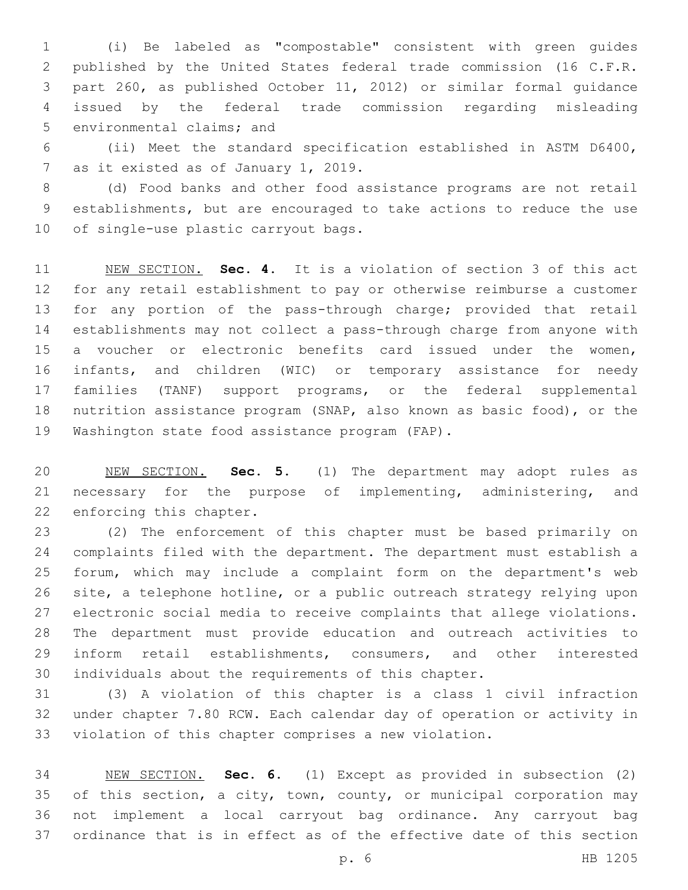(i) Be labeled as "compostable" consistent with green guides published by the United States federal trade commission (16 C.F.R. part 260, as published October 11, 2012) or similar formal guidance issued by the federal trade commission regarding misleading 5 environmental claims; and

 (ii) Meet the standard specification established in ASTM D6400, 7 as it existed as of January 1, 2019.

 (d) Food banks and other food assistance programs are not retail establishments, but are encouraged to take actions to reduce the use 10 of single-use plastic carryout bags.

 NEW SECTION. **Sec. 4.** It is a violation of section 3 of this act for any retail establishment to pay or otherwise reimburse a customer for any portion of the pass-through charge; provided that retail establishments may not collect a pass-through charge from anyone with a voucher or electronic benefits card issued under the women, infants, and children (WIC) or temporary assistance for needy families (TANF) support programs, or the federal supplemental nutrition assistance program (SNAP, also known as basic food), or the Washington state food assistance program (FAP).

 NEW SECTION. **Sec. 5.** (1) The department may adopt rules as necessary for the purpose of implementing, administering, and enforcing this chapter.

 (2) The enforcement of this chapter must be based primarily on complaints filed with the department. The department must establish a forum, which may include a complaint form on the department's web site, a telephone hotline, or a public outreach strategy relying upon electronic social media to receive complaints that allege violations. The department must provide education and outreach activities to inform retail establishments, consumers, and other interested individuals about the requirements of this chapter.

 (3) A violation of this chapter is a class 1 civil infraction under chapter 7.80 RCW. Each calendar day of operation or activity in violation of this chapter comprises a new violation.

 NEW SECTION. **Sec. 6.** (1) Except as provided in subsection (2) 35 of this section, a city, town, county, or municipal corporation may not implement a local carryout bag ordinance. Any carryout bag ordinance that is in effect as of the effective date of this section